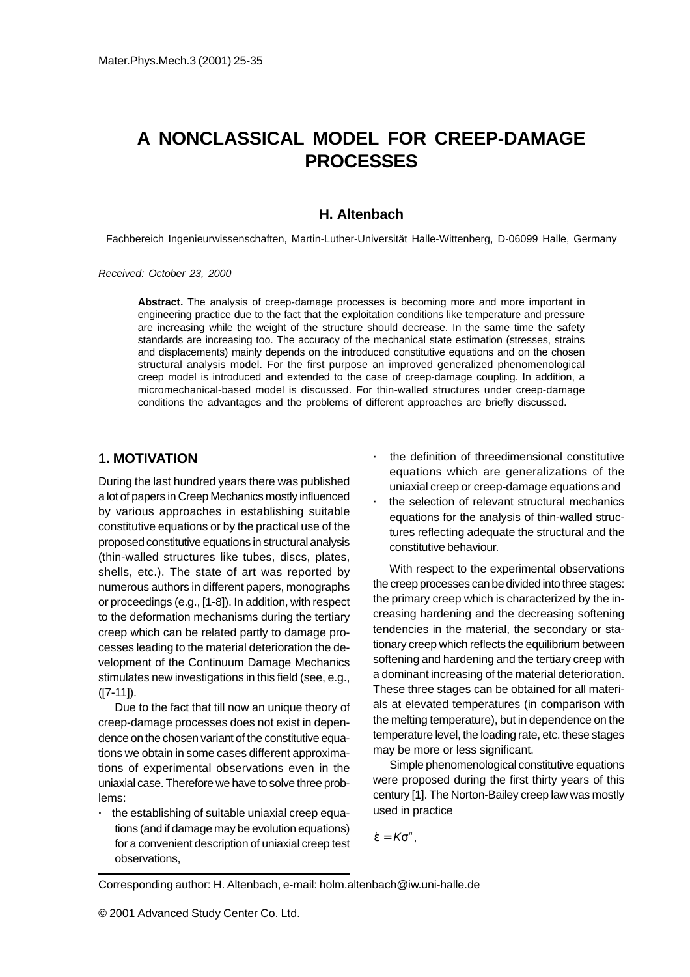# **A NONCLASSICAL MODEL FOR CREEP-DAMAGE PROCESSES**

# **H. Altenbach**

Fachbereich Ingenieurwissenschaften, Martin-Luther-Universität Halle-Wittenberg, D-06099 Halle, Germany

Received: October 23, 2000

**Abstract.** The analysis of creep-damage processes is becoming more and more important in engineering practice due to the fact that the exploitation conditions like temperature and pressure are increasing while the weight of the structure should decrease. In the same time the safety standards are increasing too. The accuracy of the mechanical state estimation (stresses, strains and displacements) mainly depends on the introduced constitutive equations and on the chosen structural analysis model. For the first purpose an improved generalized phenomenological creep model is introduced and extended to the case of creep-damage coupling. In addition, a micromechanical-based model is discussed. For thin-walled structures under creep-damage conditions the advantages and the problems of different approaches are briefly discussed.

# **1. MOTIVATION**

During the last hundred years there was published a lot of papers in Creep Mechanics mostly influenced by various approaches in establishing suitable constitutive equations or by the practical use of the proposed constitutive equations in structural analysis (thin-walled structures like tubes, discs, plates, shells, etc.). The state of art was reported by numerous authors in different papers, monographs or proceedings (e.g., [1-8]). In addition, with respect to the deformation mechanisms during the tertiary creep which can be related partly to damage processes leading to the material deterioration the development of the Continuum Damage Mechanics stimulates new investigations in this field (see, e.g., ([7-11]).

Due to the fact that till now an unique theory of creep-damage processes does not exist in dependence on the chosen variant of the constitutive equations we obtain in some cases different approximations of experimental observations even in the uniaxial case. Therefore we have to solve three problems:

**·** the establishing of suitable uniaxial creep equations (and if damage may be evolution equations) for a convenient description of uniaxial creep test observations,

- **·** the definition of threedimensional constitutive equations which are generalizations of the uniaxial creep or creep-damage equations and
- **·** the selection of relevant structural mechanics equations for the analysis of thin-walled structures reflecting adequate the structural and the constitutive behaviour.

With respect to the experimental observations the creep processes can be divided into three stages: the primary creep which is characterized by the increasing hardening and the decreasing softening tendencies in the material, the secondary or stationary creep which reflects the equilibrium between softening and hardening and the tertiary creep with a dominant increasing of the material deterioration. These three stages can be obtained for all materials at elevated temperatures (in comparison with the melting temperature), but in dependence on the temperature level, the loading rate, etc. these stages may be more or less significant.

Simple phenomenological constitutive equations were proposed during the first thirty years of this century [1]. The Norton-Bailey creep law was mostly used in practice

$$
\dot{\epsilon} = K\sigma^n,
$$

Corresponding author: H. Altenbach, e-mail: holm.altenbach@iw.uni-halle.de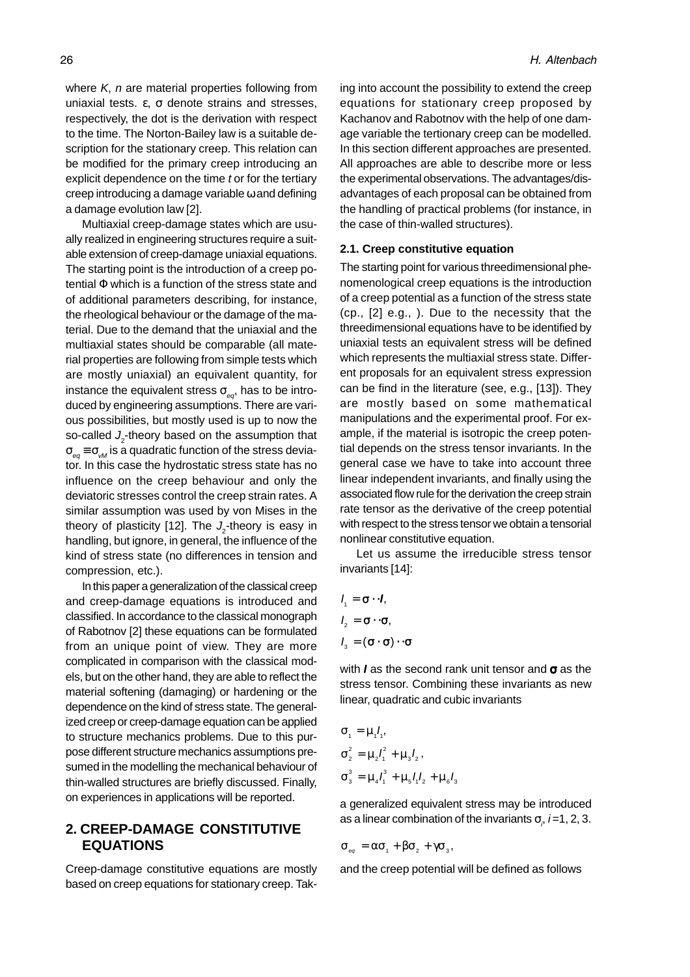where  $K$ , n are material properties following from uniaxial tests. ε, σ denote strains and stresses, respectively, the dot is the derivation with respect to the time. The Norton-Bailey law is a suitable description for the stationary creep. This relation can be modified for the primary creep introducing an explicit dependence on the time t or for the tertiary creep introducing a damage variable ω and defining a damage evolution law [2].

Multiaxial creep-damage states which are usually realized in engineering structures require a suitable extension of creep-damage uniaxial equations. The starting point is the introduction of a creep potential Φ which is a function of the stress state and of additional parameters describing, for instance, the rheological behaviour or the damage of the material. Due to the demand that the uniaxial and the multiaxial states should be comparable (all material properties are following from simple tests which are mostly uniaxial) an equivalent quantity, for instance the equivalent stress  $\sigma_{eq}$ , has to be introduced by engineering assumptions. There are various possibilities, but mostly used is up to now the so-called  $J_2$ -theory based on the assumption that  $\sigma_{eq} \equiv \sigma_{rad}$  is a quadratic function of the stress deviator. In this case the hydrostatic stress state has no influence on the creep behaviour and only the deviatoric stresses control the creep strain rates. A similar assumption was used by von Mises in the theory of plasticity [12]. The  $J_{2}$ -theory is easy in handling, but ignore, in general, the influence of the kind of stress state (no differences in tension and compression, etc.).

In this paper a generalization of the classical creep and creep-damage equations is introduced and classified. In accordance to the classical monograph of Rabotnov [2] these equations can be formulated from an unique point of view. They are more complicated in comparison with the classical models, but on the other hand, they are able to reflect the material softening (damaging) or hardening or the dependence on the kind of stress state. The generalized creep or creep-damage equation can be applied to structure mechanics problems. Due to this purpose different structure mechanics assumptions presumed in the modelling the mechanical behaviour of thin-walled structures are briefly discussed. Finally, on experiences in applications will be reported.

# **2. CREEP-DAMAGE CONSTITUTIVE EQUATIONS**

Creep-damage constitutive equations are mostly based on creep equations for stationary creep. Taking into account the possibility to extend the creep equations for stationary creep proposed by Kachanov and Rabotnov with the help of one damage variable the tertionary creep can be modelled. In this section different approaches are presented. All approaches are able to describe more or less the experimental observations. The advantages/disadvantages of each proposal can be obtained from the handling of practical problems (for instance, in the case of thin-walled structures).

#### **2.1. Creep constitutive equation**

The starting point for various threedimensional phenomenological creep equations is the introduction of a creep potential as a function of the stress state (cp., [2] e.g., ). Due to the necessity that the threedimensional equations have to be identified by uniaxial tests an equivalent stress will be defined which represents the multiaxial stress state. Different proposals for an equivalent stress expression can be find in the literature (see, e.g., [13]). They are mostly based on some mathematical manipulations and the experimental proof. For example, if the material is isotropic the creep potential depends on the stress tensor invariants. In the general case we have to take into account three linear independent invariants, and finally using the associated flow rule for the derivation the creep strain rate tensor as the derivative of the creep potential with respect to the stress tensor we obtain a tensorial nonlinear constitutive equation.

Let us assume the irreducible stress tensor invariants [14]:

$$
l_1 = \sigma \cdot l,
$$
  
\n
$$
l_2 = \sigma \cdot \sigma,
$$
  
\n
$$
l_3 = (\sigma \cdot \sigma) \cdot \sigma
$$

with **I** as the second rank unit tensor and σ as the stress tensor. Combining these invariants as new linear, quadratic and cubic invariants

$$
\sigma_1 = \mu_1 l_1,
$$
  
\n
$$
\sigma_2^2 = \mu_2 l_1^2 + \mu_3 l_2,
$$
  
\n
$$
\sigma_3^3 = \mu_4 l_1^3 + \mu_5 l_1 l_2 + \mu_6 l_3
$$

a generalized equivalent stress may be introduced as a linear combination of the invariants  $\sigma_{\rho}$  *i*=1, 2, 3.

$$
\sigma_{_{eq}} = \alpha \sigma_{_1} + \beta \sigma_{_2} + \gamma \sigma_{_3},
$$

and the creep potential will be defined as follows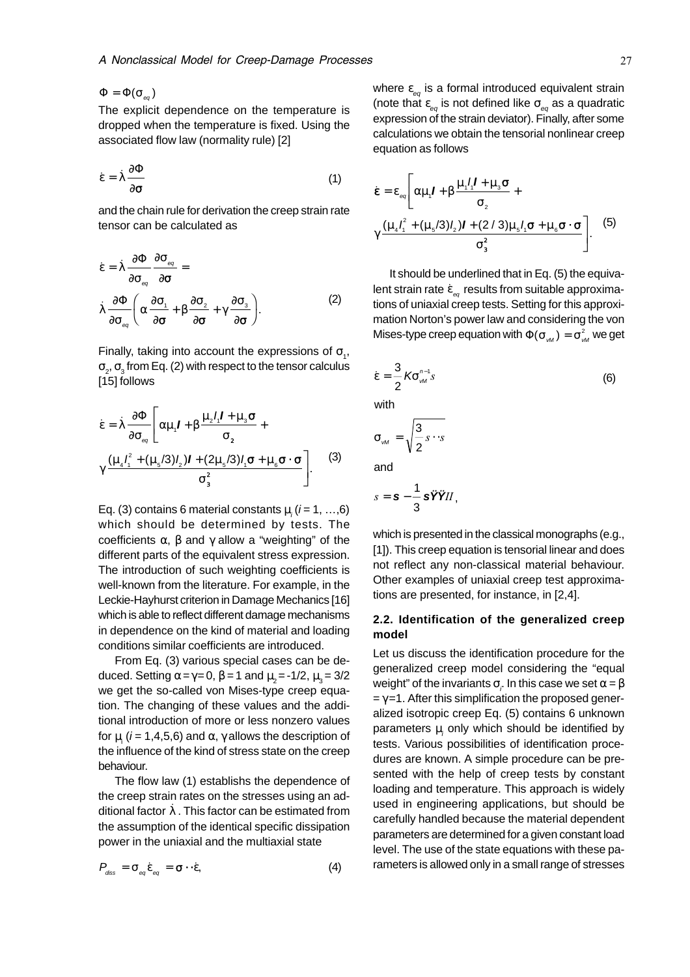$\Phi = \Phi(\sigma_{\infty})$ 

The explicit dependence on the temperature is dropped when the temperature is fixed. Using the associated flow law (normality rule) [2]

$$
\dot{\varepsilon} = \dot{\lambda} \frac{\partial \Phi}{\partial \sigma} \tag{1}
$$

and the chain rule for derivation the creep strain rate tensor can be calculated as

$$
\dot{\varepsilon} = \dot{\lambda} \frac{\partial \Phi}{\partial \sigma_{\text{sq}}} \frac{\partial \sigma_{\text{sq}}}{\partial \sigma} =
$$
\n
$$
\dot{\lambda} \frac{\partial \Phi}{\partial \sigma_{\text{sq}}} \left( \alpha \frac{\partial \sigma_{\text{q}}}{\partial \sigma} + \beta \frac{\partial \sigma_{\text{q}}}{\partial \sigma} + \gamma \frac{\partial \sigma_{\text{q}}}{\partial \sigma} \right).
$$
\n(2)

Finally, taking into account the expressions of  $\sigma$ <sub>1</sub>,  $\sigma_{_2}$ ,  $\sigma_{_3}$  from Eq. (2) with respect to the tensor calculus [15] follows

$$
\dot{\varepsilon} = \dot{\lambda} \frac{\partial \Phi}{\partial \sigma_{\text{eq}}} \left[ \alpha \mu_1 I + \beta \frac{\mu_2 I_1 I + \mu_3 \sigma}{\sigma_2} + \gamma \frac{(\mu_4 I_1^2 + (\mu_5 / 3) I_2) I + (2 \mu_5 / 3) I_1 \sigma + \mu_6 \sigma \cdot \sigma}{\sigma_3^2} \right].
$$
 (3)

Eq. (3) contains 6 material constants  $\mu_i$  (*i* = 1, ...,6) which should be determined by tests. The coefficients  $\alpha$ ,  $\beta$  and  $\gamma$  allow a "weighting" of the different parts of the equivalent stress expression. The introduction of such weighting coefficients is well-known from the literature. For example, in the Leckie-Hayhurst criterion in Damage Mechanics [16] which is able to reflect different damage mechanisms in dependence on the kind of material and loading conditions similar coefficients are introduced.

From Eq. (3) various special cases can be deduced. Setting  $\alpha = \gamma = 0$ ,  $\beta = 1$  and  $\mu_2 = -1/2$ ,  $\mu_3 = 3/2$ we get the so-called von Mises-type creep equation. The changing of these values and the additional introduction of more or less nonzero values for  $\mu_{_{\rm i}}$  ( $i$  = 1,4,5,6) and  $\alpha$ ,  $\gamma$  allows the description of the influence of the kind of stress state on the creep behaviour.

The flow law (1) establishs the dependence of the creep strain rates on the stresses using an additional factor  $\lambda$ . This factor can be estimated from the assumption of the identical specific dissipation power in the uniaxial and the multiaxial state

$$
P_{\text{diss}} = \sigma_{\text{eq}} \dot{\varepsilon}_{\text{eq}} = \boldsymbol{\sigma} \cdot \dot{\varepsilon}, \tag{4}
$$

where  $\varepsilon_{eq}$  is a formal introduced equivalent strain (note that  $\varepsilon_{eq}$  is not defined like  $\sigma_{eq}$  as a quadratic expression of the strain deviator). Finally, after some calculations we obtain the tensorial nonlinear creep equation as follows

$$
\dot{\mathbf{\varepsilon}} = \varepsilon_{\text{eq}} \left[ \alpha \mu_{1} I + \beta \frac{\mu_{1} I_{1} I + \mu_{3} \sigma}{\sigma_{2}} + \gamma \frac{(\mu_{4} I_{1}^{2} + (\mu_{5}/3)I_{2}) I + (2/3) \mu_{5} I_{1} \sigma + \mu_{6} \sigma \cdot \sigma}{\sigma_{3}^{2}} \right].
$$
 (5)

It should be underlined that in Eq. (5) the equivalent strain rate  $\dot{\epsilon}_{eq}$  results from suitable approximations of uniaxial creep tests. Setting for this approximation Norton's power law and considering the von Mises-type creep equation with  $\Phi(\sigma_M) = \sigma_M^2$  we get

$$
\dot{\varepsilon} = \frac{3}{2} K \sigma_{\text{vM}}^{n-1} s \tag{6}
$$

with

$$
\sigma_{\mathcal{M}} = \sqrt{\frac{3}{2} s \cdot s}
$$
  
and

$$
s=\mathbf{s}-\frac{1}{3}\,\mathbf{s}\,\ddot{\mathbf{Y}}\ddot{\mathbf{Y}}\mathbf{I}\mathbf{I}\,,
$$

which is presented in the classical monographs (e.g., [1]). This creep equation is tensorial linear and does not reflect any non-classical material behaviour. Other examples of uniaxial creep test approximations are presented, for instance, in [2,4].

## **2.2. Identification of the generalized creep model**

Let us discuss the identification procedure for the generalized creep model considering the "equal weight" of the invariants  $\sigma_{_{\! {\sf \!{\scriptscriptstyle{T}}}}}$  In this case we set  $\alpha$  =  $\beta$  $= \gamma = 1$ . After this simplification the proposed generalized isotropic creep Eq. (5) contains 6 unknown parameters  $\mu_{i}$  only which should be identified by tests. Various possibilities of identification procedures are known. A simple procedure can be presented with the help of creep tests by constant loading and temperature. This approach is widely used in engineering applications, but should be carefully handled because the material dependent parameters are determined for a given constant load level. The use of the state equations with these parameters is allowed only in a small range of stresses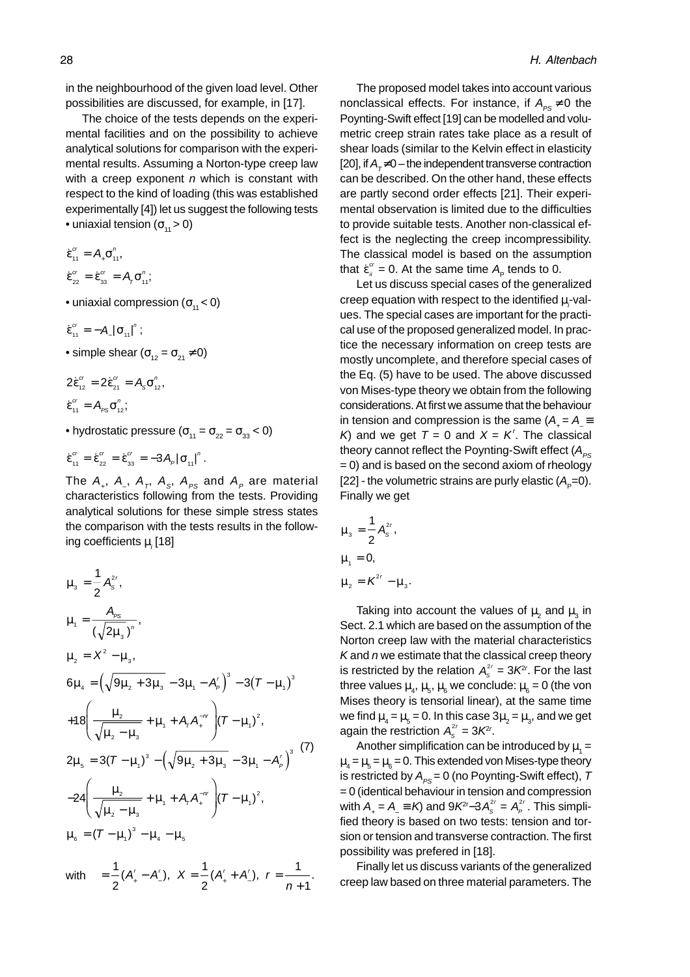in the neighbourhood of the given load level. Other possibilities are discussed, for example, in [17].

The choice of the tests depends on the experimental facilities and on the possibility to achieve analytical solutions for comparison with the experimental results. Assuming a Norton-type creep law with a creep exponent  $n$  which is constant with respect to the kind of loading (this was established experimentally [4]) let us suggest the following tests • uniaxial tension  $(\sigma_{11} > 0)$ 

$$
\dot{\varepsilon}_{11}^{cr} = A_{+} \sigma_{11}^{n}, \n\dot{\varepsilon}_{22}^{cr} = \dot{\varepsilon}_{33}^{cr} = A_{r} \sigma_{11}^{n},
$$

• uniaxial compression  $(\sigma_{11} < 0)$ 

$$
\dot{\epsilon}_{11}^{cr} = -A_{\_}\, |\sigma_{11}|^{n} ;
$$

• simple shear  $(\sigma_{12} = \sigma_{21} \neq 0)$ 

$$
2\dot{\epsilon}_{12}^{cr} = 2\dot{\epsilon}_{21}^{cr} = A_s \sigma_{12}^n,
$$
  

$$
\dot{\epsilon}_{11}^{cr} = A_{ps} \sigma_{12}^n;
$$

• hydrostatic pressure ( $\sigma_{11} = \sigma_{22} = \sigma_{33} < 0$ )

$$
\dot{\varepsilon}_{11}^{cr} = \dot{\varepsilon}_{22}^{cr} = \dot{\varepsilon}_{33}^{cr} = -3A_{p} |\sigma_{11}|^{n}.
$$

The  $A_+$ ,  $A_-$ ,  $A_T$ ,  $A_S$ ,  $A_{PS}$  and  $A_P$  are material characteristics following from the tests. Providing analytical solutions for these simple stress states the comparison with the tests results in the following coefficients  $\mu_{_i}$ [18]

$$
\mu_{3} = \frac{1}{2} A_{s}^{2r},
$$
\n
$$
\mu_{1} = \frac{A_{PS}}{(\sqrt{2\mu_{3}})^{n}},
$$
\n
$$
\mu_{2} = X^{2} - \mu_{3},
$$
\n
$$
6\mu_{4} = (\sqrt{9\mu_{2} + 3\mu_{3}} - 3\mu_{1} - A_{p}^{'})^{3} - 3(T - \mu_{1})^{3}
$$
\n
$$
+ 18\left(\frac{\mu_{2}}{\sqrt{\mu_{2} - \mu_{3}}} + \mu_{1} + A_{r}A_{r}^{-nr}\right)(T - \mu_{1})^{2},
$$
\n
$$
2\mu_{5} = 3(T - \mu_{1})^{3} - (\sqrt{9\mu_{2} + 3\mu_{3}} - 3\mu_{1} - A_{p}^{'})^{3}
$$
\n
$$
- 24\left(\frac{\mu_{2}}{\sqrt{\mu_{2} - \mu_{3}}} + \mu_{1} + A_{r}A_{r}^{-nr}\right)(T - \mu_{1})^{2},
$$
\n
$$
\mu_{6} = (T - \mu_{1})^{3} - \mu_{4} - \mu_{5}
$$
\nwith 
$$
= \frac{1}{2}(A_{1}' - A_{2}'), X = \frac{1}{2}(A_{1}' + A_{2}'), r = \frac{1}{2}.
$$

with  $=-(A^r - A^r), X = -(A^r + A^r), r$ 

2

+  $\frac{2^{k+1}}{2}$ ,  $n+$ 

 $(A' - A'), X = -(A' + A'), r =$  — .

2

n

1

The proposed model takes into account various nonclassical effects. For instance, if  $A_{\text{pc}} \neq 0$  the Poynting-Swift effect [19] can be modelled and volumetric creep strain rates take place as a result of shear loads (similar to the Kelvin effect in elasticity [20], if  $A_{\tau} \neq 0$  – the independent transverse contraction can be described. On the other hand, these effects are partly second order effects [21]. Their experimental observation is limited due to the difficulties to provide suitable tests. Another non-classical effect is the neglecting the creep incompressibility. The classical model is based on the assumption that  $\dot{\epsilon}_{ii}^{\alpha}$  = 0. At the same time  $A_{\rm p}$  tends to 0.

Let us discuss special cases of the generalized creep equation with respect to the identified  $\mu_{\vec{i}}$  values. The special cases are important for the practical use of the proposed generalized model. In practice the necessary information on creep tests are mostly uncomplete, and therefore special cases of the Eq. (5) have to be used. The above discussed von Mises-type theory we obtain from the following considerations. At first we assume that the behaviour in tension and compression is the same ( $A = A$ K) and we get  $T = 0$  and  $X = K'$ . The classical theory cannot reflect the Poynting-Swift effect  $(A_{ps})$  $= 0$ ) and is based on the second axiom of rheology [22] - the volumetric strains are purly elastic  $(A<sub>n</sub>=0)$ . Finally we get

$$
\mu_{3} = \frac{1}{2} A_{s}^{2r},
$$
  
\n
$$
\mu_{1} = 0,
$$
  
\n
$$
\mu_{2} = K^{2r} - \mu_{3}.
$$

Taking into account the values of  $\mu_{_2}$  and  $\mu_{_3}$  in Sect. 2.1 which are based on the assumption of the Norton creep law with the material characteristics K and  $n$  we estimate that the classical creep theory is restricted by the relation  $A_s^{2r} = 3K^{2r}$ . For the last three values  $\mu_{_4},\,\mu_{_5},\,\mu_{_6}$  we conclude:  $\mu_{_6}$  = 0 (the von Mises theory is tensorial linear), at the same time we find  $\mu_{_4}$  =  $\mu_{_5}$  = 0. In this case 3 $\mu_{_2}$  =  $\mu_{_3}$ , and we get again the restriction  $A_s^{2r} = 3K^{2r}$ .

Another simplification can be introduced by  $\mu_{_1}$  =  $\mu_{_4}$  =  $\mu_{_5}$  =  $\mu_{_6}$  = 0. This extended von Mises-type theory is restricted by  $A_{ps} = 0$  (no Poynting-Swift effect), T = 0 (identical behaviour in tension and compression with  $A_+ = A_- \equiv K$ ) and 9 $K^{2r}-3A_s^{2r} = A_p^{2r}$ . This simplified theory is based on two tests: tension and torsion or tension and transverse contraction. The first possibility was prefered in [18].

Finally let us discuss variants of the generalized creep law based on three material parameters. The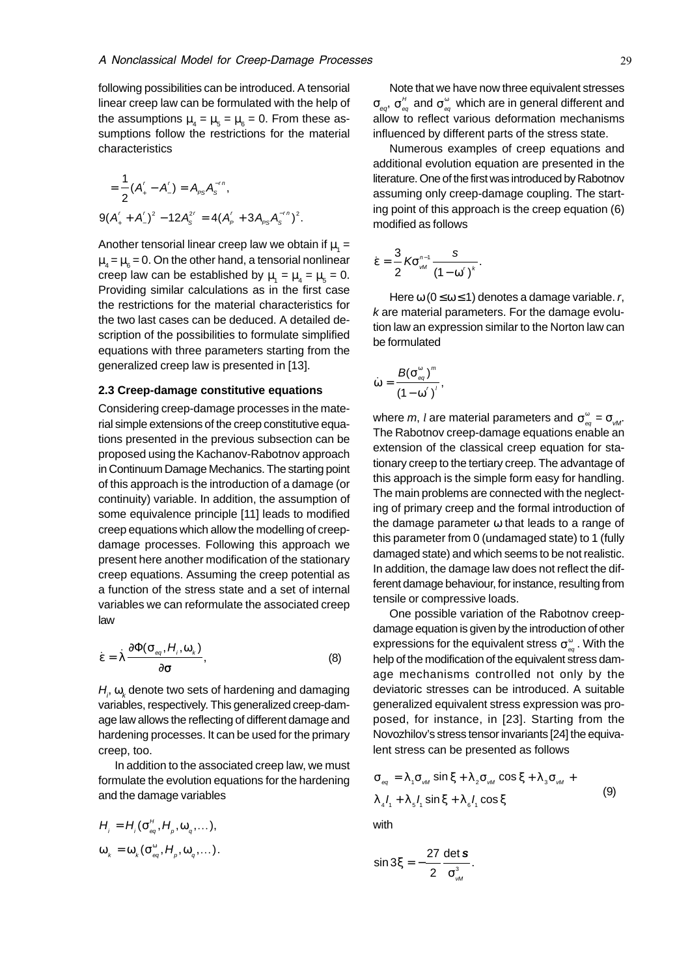following possibilities can be introduced. A tensorial linear creep law can be formulated with the help of the assumptions  $\mu_4 = \mu_5 = \mu_6 = 0$ . From these assumptions follow the restrictions for the material characteristics

$$
= \frac{1}{2}(A'_{+} - A'_{-}) = A_{PS}A_{S}^{-rn},
$$
  
9( $A'_{+} + A'_{-}$ )<sup>2</sup> - 12 $A_{S}^{2r} = 4(A'_{P} + 3A_{PS}A_{S}^{-rn})^{2}$ .

Another tensorial linear creep law we obtain if  $\mu_1 =$  $\mu_{_4}$  =  $\mu_{_6}$  = 0. On the other hand, a tensorial nonlinear creep law can be established by  $\mu_1 = \mu_4 = \mu_5 = 0$ . Providing similar calculations as in the first case the restrictions for the material characteristics for the two last cases can be deduced. A detailed description of the possibilities to formulate simplified equations with three parameters starting from the generalized creep law is presented in [13].

#### **2.3 Creep-damage constitutive equations**

Considering creep-damage processes in the material simple extensions of the creep constitutive equations presented in the previous subsection can be proposed using the Kachanov-Rabotnov approach in Continuum Damage Mechanics. The starting point of this approach is the introduction of a damage (or continuity) variable. In addition, the assumption of some equivalence principle [11] leads to modified creep equations which allow the modelling of creepdamage processes. Following this approach we present here another modification of the stationary creep equations. Assuming the creep potential as a function of the stress state and a set of internal variables we can reformulate the associated creep law

$$
\dot{\varepsilon} = \dot{\lambda} \frac{\partial \Phi(\sigma_{\text{eq}}, H_i, \omega_k)}{\partial \sigma}, \qquad (8)
$$

 $H_{_{\!\scriptscriptstyle\rm P}}\, \omega_{_{\!\scriptscriptstyle K}}$ denote two sets of hardening and damaging variables, respectively. This generalized creep-damage law allows the reflecting of different damage and hardening processes. It can be used for the primary creep, too.

In addition to the associated creep law, we must formulate the evolution equations for the hardening and the damage variables

$$
H_{i} = H_{i}(\sigma_{eq}^{H}, H_{p}, \omega_{q}, \dots),
$$
  

$$
\omega_{k} = \omega_{k}(\sigma_{eq}^{\omega}, H_{p}, \omega_{q}, \dots).
$$

Note that we have now three equivalent stresses  $\sigma_{_{\mathit{eq}}}$ ,  $\sigma_{_{\mathit{eq}}}^{^{_\mathit{H}}}$  and  $\sigma_{_{\mathit{eq}}}^{^{_\mathrm{o}}}$  which are in general different and allow to reflect various deformation mechanisms influenced by different parts of the stress state.

Numerous examples of creep equations and additional evolution equation are presented in the literature. One of the first was introduced by Rabotnov assuming only creep-damage coupling. The starting point of this approach is the creep equation (6) modified as follows

$$
\dot{\epsilon} = \frac{3}{2} K \sigma_{\text{vM}}^{n-1} \frac{s}{\left(1 - \omega^r\right)^k}.
$$

Here  $\omega$  (0  $\leq \omega \leq$  1) denotes a damage variable. r, k are material parameters. For the damage evolution law an expression similar to the Norton law can be formulated

$$
\dot{\omega} = \frac{B(\sigma_{\text{eq}}^{\omega})^m}{(1 - \omega^{'})^l},
$$

where  $m$ ,  $l$  are material parameters and  $\sigma^\text{\tiny{e}}_{_{\mathit{eq}}}$  =  $\sigma^{\text{\tiny{e}}}_{_{\mathit{vM}}}$ . The Rabotnov creep-damage equations enable an extension of the classical creep equation for stationary creep to the tertiary creep. The advantage of this approach is the simple form easy for handling. The main problems are connected with the neglecting of primary creep and the formal introduction of the damage parameter  $\omega$  that leads to a range of this parameter from 0 (undamaged state) to 1 (fully damaged state) and which seems to be not realistic. In addition, the damage law does not reflect the different damage behaviour, for instance, resulting from tensile or compressive loads.

One possible variation of the Rabotnov creepdamage equation is given by the introduction of other expressions for the equivalent stress  $\sigma_{_{\bf eq}}^{\rm \scriptscriptstyle \omega}$  . With the help of the modification of the equivalent stress damage mechanisms controlled not only by the deviatoric stresses can be introduced. A suitable generalized equivalent stress expression was proposed, for instance, in [23]. Starting from the Novozhilov's stress tensor invariants [24] the equivalent stress can be presented as follows

$$
\sigma_{eq} = \lambda_1 \sigma_{w} \sin \xi + \lambda_2 \sigma_{w} \cos \xi + \lambda_3 \sigma_{w} +
$$
  
\n
$$
\lambda_4 I_1 + \lambda_5 I_1 \sin \xi + \lambda_6 I_1 \cos \xi
$$
 (9)

with

$$
\sin 3\xi = -\frac{27}{2} \frac{\det s}{\sigma_{\text{M}}^3}.
$$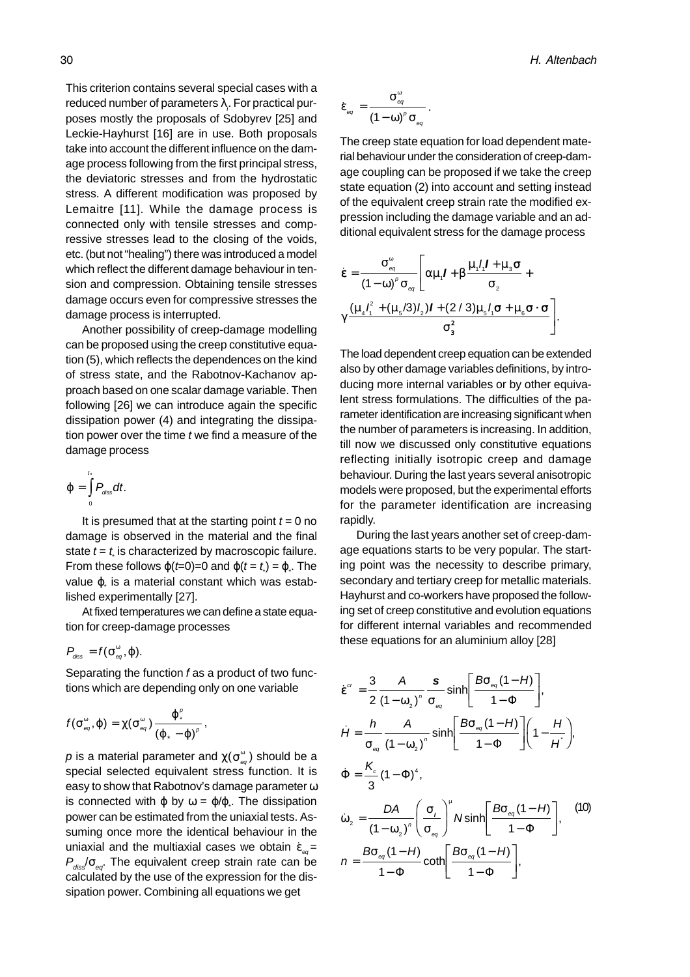This criterion contains several special cases with a reduced number of parameters  $\lambda_{\vec{r}}$  For practical purposes mostly the proposals of Sdobyrev [25] and Leckie-Hayhurst [16] are in use. Both proposals take into account the different influence on the damage process following from the first principal stress, the deviatoric stresses and from the hydrostatic stress. A different modification was proposed by Lemaitre [11]. While the damage process is connected only with tensile stresses and compressive stresses lead to the closing of the voids, etc. (but not "healing") there was introduced a model which reflect the different damage behaviour in tension and compression. Obtaining tensile stresses damage occurs even for compressive stresses the damage process is interrupted.

Another possibility of creep-damage modelling can be proposed using the creep constitutive equation (5), which reflects the dependences on the kind of stress state, and the Rabotnov-Kachanov approach based on one scalar damage variable. Then following [26] we can introduce again the specific dissipation power (4) and integrating the dissipation power over the time  $t$  we find a measure of the damage process

$$
\varphi=\int\limits_{0}^{t_{\ast}}P_{\text{diss}}dt.
$$

It is presumed that at the starting point  $t = 0$  no damage is observed in the material and the final state  $t = t$  is characterized by macroscopic failure. From these follows  $\varphi(t=0)=0$  and  $\varphi(t=t_*)=\varphi$ . The value φ. is a material constant which was established experimentally [27].

At fixed temperatures we can define a state equation for creep-damage processes

$$
P_{\text{diss}} = f(\sigma_{\text{eq}}^{\omega}, \varphi).
$$

Separating the function f as a product of two functions which are depending only on one variable

$$
f(\sigma_{\text{eq}}^{\omega}, \varphi) = \chi(\sigma_{\text{eq}}^{\omega}) \frac{\varphi_{*}^{\rho}}{(\varphi_{*} - \varphi)^{\rho}},
$$

 $\rho$  is a material parameter and  $\chi(\sigma_{_{\bf eq}}^{\circ})$  should be a special selected equivalent stress function. It is easy to show that Rabotnov's damage parameter ω is connected with  $\varphi$  by  $\omega = \varphi/\varphi$ . The dissipation power can be estimated from the uniaxial tests. Assuming once more the identical behaviour in the uniaxial and the multiaxial cases we obtain  $\varepsilon_{\omega}$  =  $P_{\text{disc}}/\sigma_{\text{ext}}$ . The equivalent creep strain rate can be calculated by the use of the expression for the dissipation power. Combining all equations we get

$$
\dot{\epsilon}_{_{eq}} = \frac{\sigma_{_{eq}}^{^{\omega}}}{\left(1 - \omega\right)^{\rho} \sigma_{_{eq}}}.
$$

The creep state equation for load dependent material behaviour under the consideration of creep-damage coupling can be proposed if we take the creep state equation (2) into account and setting instead of the equivalent creep strain rate the modified expression including the damage variable and an additional equivalent stress for the damage process

$$
\dot{\varepsilon} = \frac{\sigma_{_{\text{eq}}}^{_{\text{o}}}}{(1-\omega)^{^{p}}} \sigma_{_{\text{eq}}} \left[ \alpha \mu_{_{1}} I + \beta \frac{\mu_{_{1}} I_{_{1}} I + \mu_{_{3}} \sigma}{\sigma_{_{2}}} + \gamma \frac{(\mu_{_{4}} I_{_{1}}^{2} + (\mu_{_{5}}/3)I_{_{2}})I + (2/3)\mu_{_{5}} I_{_{1}} \sigma + \mu_{_{6}} \sigma \cdot \sigma}{\sigma_{_{3}}^{^{2}}} \right].
$$

The load dependent creep equation can be extended also by other damage variables definitions, by introducing more internal variables or by other equivalent stress formulations. The difficulties of the parameter identification are increasing significant when the number of parameters is increasing. In addition, till now we discussed only constitutive equations reflecting initially isotropic creep and damage behaviour. During the last years several anisotropic models were proposed, but the experimental efforts for the parameter identification are increasing rapidly.

During the last years another set of creep-damage equations starts to be very popular. The starting point was the necessity to describe primary, secondary and tertiary creep for metallic materials. Hayhurst and co-workers have proposed the following set of creep constitutive and evolution equations for different internal variables and recommended these equations for an aluminium alloy [28]

$$
\dot{\mathbf{g}}^{\alpha} = \frac{3}{2} \frac{A}{(1 - \omega_2)^n} \frac{\mathbf{s}}{\sigma_{\varrho q}} \sinh\left[\frac{B\sigma_{\varrho q}(1 - H)}{1 - \Phi}\right],
$$
\n
$$
\dot{H} = \frac{h}{\sigma_{\varrho q}} \frac{A}{(1 - \omega_2)^n} \sinh\left[\frac{B\sigma_{\varrho q}(1 - H)}{1 - \Phi}\right] \left(1 - \frac{H}{H}\right),
$$
\n
$$
\dot{\Phi} = \frac{K_c}{3} (1 - \Phi)^4,
$$
\n
$$
\dot{\omega}_2 = \frac{DA}{(1 - \omega_2)^n} \left(\frac{\sigma_t}{\sigma_{\varrho q}}\right)^{\mu} N \sinh\left[\frac{B\sigma_{\varrho q}(1 - H)}{1 - \Phi}\right], \quad (10)
$$
\n
$$
n = \frac{B\sigma_{\varrho q}(1 - H)}{1 - \Phi} \coth\left[\frac{B\sigma_{\varrho q}(1 - H)}{1 - \Phi}\right], \quad (11)
$$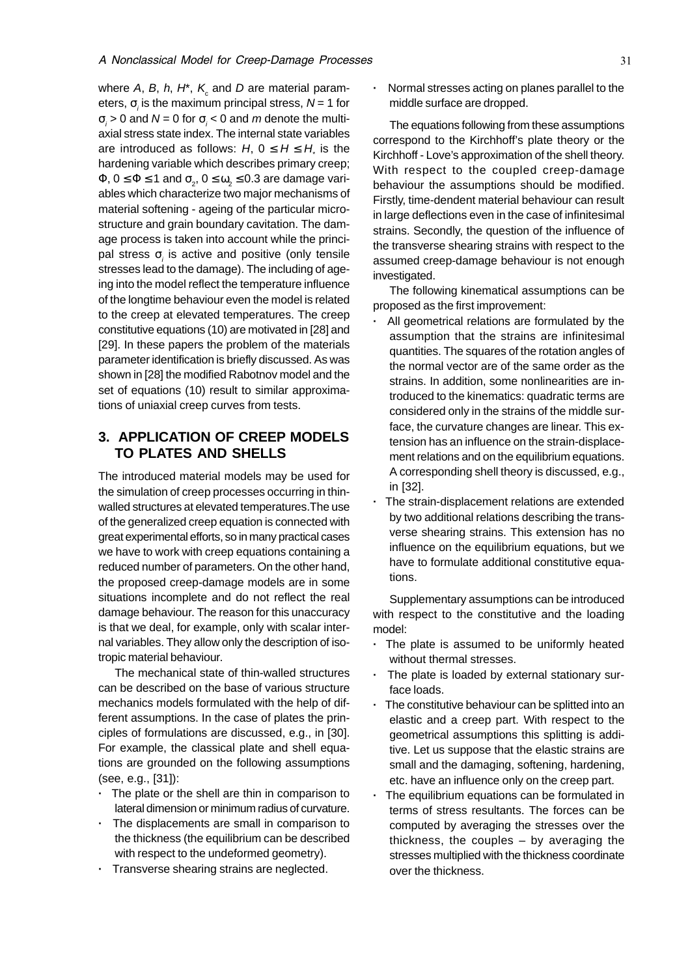### A Nonclassical Model for Creep-Damage Processes **Analysis Contains the Contract Contains a** 31

where A, B, h, H\*,  $\mathsf{K}_{\mathrm{c}}$  and D are material parameters,  $\sigma_i$  is the maximum principal stress,  $N$  = 1 for σ<sub>i</sub> > 0 and N = 0 for σ<sub>i</sub> < 0 and m denote the multiaxial stress state index. The internal state variables are introduced as follows:  $H$ ,  $0 \leq H \leq H$ , is the hardening variable which describes primary creep;  $\Phi$ ,  $0 \le \Phi \le 1$  and  $\sigma^{}_{2^,}$   $0 \le \omega^{}_{2} \le 0.3$  are damage variables which characterize two major mechanisms of material softening - ageing of the particular microstructure and grain boundary cavitation. The damage process is taken into account while the principal stress  $\sigma_i$  is active and positive (only tensile stresses lead to the damage). The including of ageing into the model reflect the temperature influence of the longtime behaviour even the model is related to the creep at elevated temperatures. The creep constitutive equations (10) are motivated in [28] and [29]. In these papers the problem of the materials parameter identification is briefly discussed. As was shown in [28] the modified Rabotnov model and the set of equations (10) result to similar approximations of uniaxial creep curves from tests.

# **3. APPLICATION OF CREEP MODELS TO PLATES AND SHELLS**

The introduced material models may be used for the simulation of creep processes occurring in thinwalled structures at elevated temperatures.The use of the generalized creep equation is connected with great experimental efforts, so in many practical cases we have to work with creep equations containing a reduced number of parameters. On the other hand, the proposed creep-damage models are in some situations incomplete and do not reflect the real damage behaviour. The reason for this unaccuracy is that we deal, for example, only with scalar internal variables. They allow only the description of isotropic material behaviour.

The mechanical state of thin-walled structures can be described on the base of various structure mechanics models formulated with the help of different assumptions. In the case of plates the principles of formulations are discussed, e.g., in [30]. For example, the classical plate and shell equations are grounded on the following assumptions (see, e.g., [31]):

- **·** The plate or the shell are thin in comparison to lateral dimension or minimum radius of curvature.
- **·** The displacements are small in comparison to the thickness (the equilibrium can be described with respect to the undeformed geometry).
- **·** Transverse shearing strains are neglected.

**·** Normal stresses acting on planes parallel to the middle surface are dropped.

The equations following from these assumptions correspond to the Kirchhoff's plate theory or the Kirchhoff - Love's approximation of the shell theory. With respect to the coupled creep-damage behaviour the assumptions should be modified. Firstly, time-dendent material behaviour can result in large deflections even in the case of infinitesimal strains. Secondly, the question of the influence of the transverse shearing strains with respect to the assumed creep-damage behaviour is not enough investigated.

The following kinematical assumptions can be proposed as the first improvement:

- **·** All geometrical relations are formulated by the assumption that the strains are infinitesimal quantities. The squares of the rotation angles of the normal vector are of the same order as the strains. In addition, some nonlinearities are introduced to the kinematics: quadratic terms are considered only in the strains of the middle surface, the curvature changes are linear. This extension has an influence on the strain-displacement relations and on the equilibrium equations. A corresponding shell theory is discussed, e.g., in [32].
- **·** The strain-displacement relations are extended by two additional relations describing the transverse shearing strains. This extension has no influence on the equilibrium equations, but we have to formulate additional constitutive equations.

Supplementary assumptions can be introduced with respect to the constitutive and the loading model:

- **·** The plate is assumed to be uniformly heated without thermal stresses.
- The plate is loaded by external stationary surface loads.
- **·** The constitutive behaviour can be splitted into an elastic and a creep part. With respect to the geometrical assumptions this splitting is additive. Let us suppose that the elastic strains are small and the damaging, softening, hardening, etc. have an influence only on the creep part.
- **·** The equilibrium equations can be formulated in terms of stress resultants. The forces can be computed by averaging the stresses over the thickness, the couples – by averaging the stresses multiplied with the thickness coordinate over the thickness.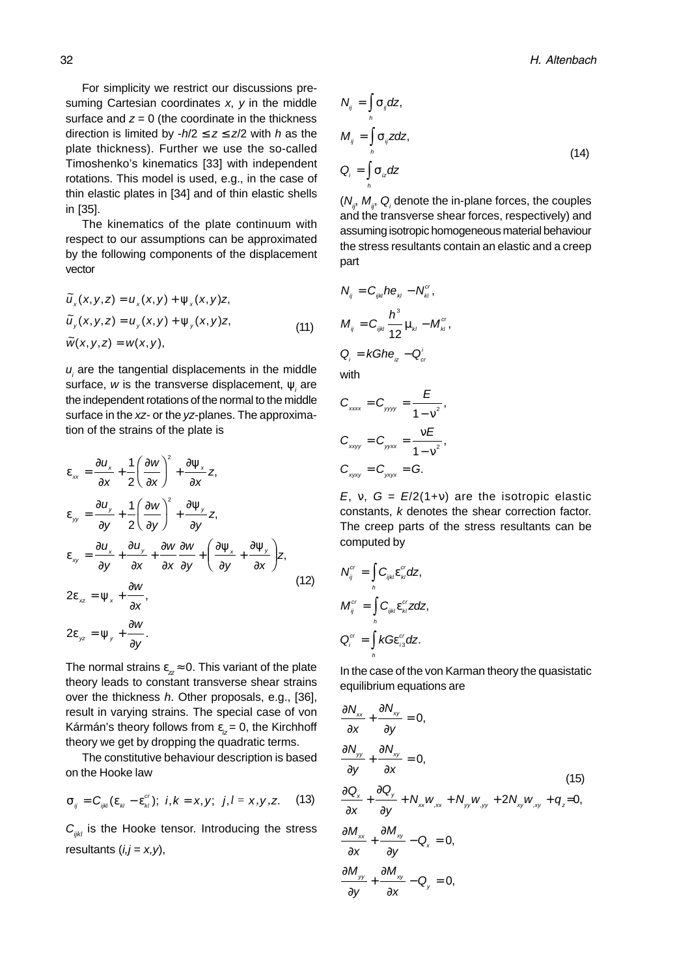For simplicity we restrict our discussions presuming Cartesian coordinates  $x$ ,  $y$  in the middle surface and  $z = 0$  (the coordinate in the thickness direction is limited by  $-h/2 \le z \le z/2$  with h as the plate thickness). Further we use the so-called Timoshenko's kinematics [33] with independent rotations. This model is used, e.g., in the case of thin elastic plates in [34] and of thin elastic shells in [35].

The kinematics of the plate continuum with respect to our assumptions can be approximated by the following components of the displacement vector

$$
\widetilde{u}_x(x, y, z) = u_x(x, y) + \psi_x(x, y)z,\n\widetilde{u}_y(x, y, z) = u_y(x, y) + \psi_y(x, y)z,\n\widetilde{w}(x, y, z) = w(x, y),
$$
\n(11)

 $u_i$  are the tangential displacements in the middle surface, w is the transverse displacement,  $\psi_i$  are the independent rotations of the normal to the middle surface in the xz- or the yz-planes. The approximation of the strains of the plate is

$$
\varepsilon_{xx} = \frac{\partial u_x}{\partial x} + \frac{1}{2} \left( \frac{\partial w}{\partial x} \right)^2 + \frac{\partial \psi_x}{\partial x} z,
$$
\n
$$
\varepsilon_{yy} = \frac{\partial u_y}{\partial y} + \frac{1}{2} \left( \frac{\partial w}{\partial y} \right)^2 + \frac{\partial \psi_y}{\partial y} z,
$$
\n
$$
\varepsilon_{xy} = \frac{\partial u_x}{\partial y} + \frac{\partial u_y}{\partial x} + \frac{\partial w}{\partial x} \frac{\partial w}{\partial y} + \left( \frac{\partial \psi_x}{\partial y} + \frac{\partial \psi_y}{\partial x} \right) z,
$$
\n
$$
2\varepsilon_{xz} = \psi_x + \frac{\partial w}{\partial x},
$$
\n
$$
2\varepsilon_{yz} = \psi_y + \frac{\partial w}{\partial y}.
$$
\n(12)

The normal strains  $\varepsilon_z \approx 0$ . This variant of the plate theory leads to constant transverse shear strains over the thickness h. Other proposals, e.g., [36], result in varying strains. The special case of von Kármán's theory follows from  $\varepsilon_{i} = 0$ , the Kirchhoff theory we get by dropping the quadratic terms.

The constitutive behaviour description is based on the Hooke law

$$
\sigma_{ij} = C_{ijk} (\varepsilon_{ki} - \varepsilon_{ki}^{cr}); \ \ i,k = x, y; \ \ j,l = x, y, z. \tag{13}
$$

 $C_{ijkl}$  is the Hooke tensor. Introducing the stress resultants  $(i,j = x, y)$ ,

$$
N_{ij} = \int_{h} \sigma_{ij} dz,
$$
  
\n
$$
M_{ij} = \int_{h} \sigma_{ij} z dz,
$$
  
\n
$$
Q_{i} = \int_{h} \sigma_{iz} dz
$$
\n(14)

 $(N_{ij}^{},\,M_{ij}^{},\,Q_i^{})$  denote the in-plane forces, the couples and the transverse shear forces, respectively) and assuming isotropic homogeneous material behaviour the stress resultants contain an elastic and a creep part

,

$$
N_{ij} = C_{ijk} h \mathbf{e}_{ki} - N_{ki}^{cr},
$$
  

$$
M_{ij} = C_{ijk} \frac{h^3}{12} \mu_{ki} - M_{ki}^{cr}
$$
  

$$
Q_{i} = kG h \mathbf{e}_{iz} - Q_{cr}^{i}
$$

with

$$
C_{xxxx} = C_{yyy} = \frac{E}{1 - v^2},
$$
  
\n
$$
C_{xxyy} = C_{yyxx} = \frac{vE}{1 - v^2},
$$
  
\n
$$
C_{xyxy} = C_{yxyx} = G.
$$

E, v,  $G = E/2(1+v)$  are the isotropic elastic constants, k denotes the shear correction factor. The creep parts of the stress resultants can be computed by

$$
N_{ij}^{cr} = \int_{h}^{h} C_{ijk} \varepsilon_{kl}^{cr} dz,
$$
  
\n
$$
M_{ij}^{cr} = \int_{h}^{h} C_{ijk} \varepsilon_{kl}^{cr} z dz,
$$
  
\n
$$
Q_{i}^{cr} = \int_{h}^{h} k G \varepsilon_{i3}^{cr} dz.
$$

In the case of the von Karman theory the quasistatic equilibrium equations are

$$
\frac{\partial N_{xx}}{\partial x} + \frac{\partial N_{xy}}{\partial y} = 0,
$$
\n
$$
\frac{\partial N_{yy}}{\partial y} + \frac{\partial N_{xy}}{\partial x} = 0,
$$
\n
$$
\frac{\partial Q_x}{\partial x} + \frac{\partial Q_y}{\partial y} + N_{xx}W_{,xx} + N_{yy}W_{,yy} + 2N_{xy}W_{,xy} + q_z = 0,
$$
\n
$$
\frac{\partial M_{xx}}{\partial x} + \frac{\partial M_{xy}}{\partial y} - Q_x = 0,
$$
\n
$$
\frac{\partial M_{yy}}{\partial y} + \frac{\partial M_{xy}}{\partial x} - Q_y = 0,
$$
\n(15)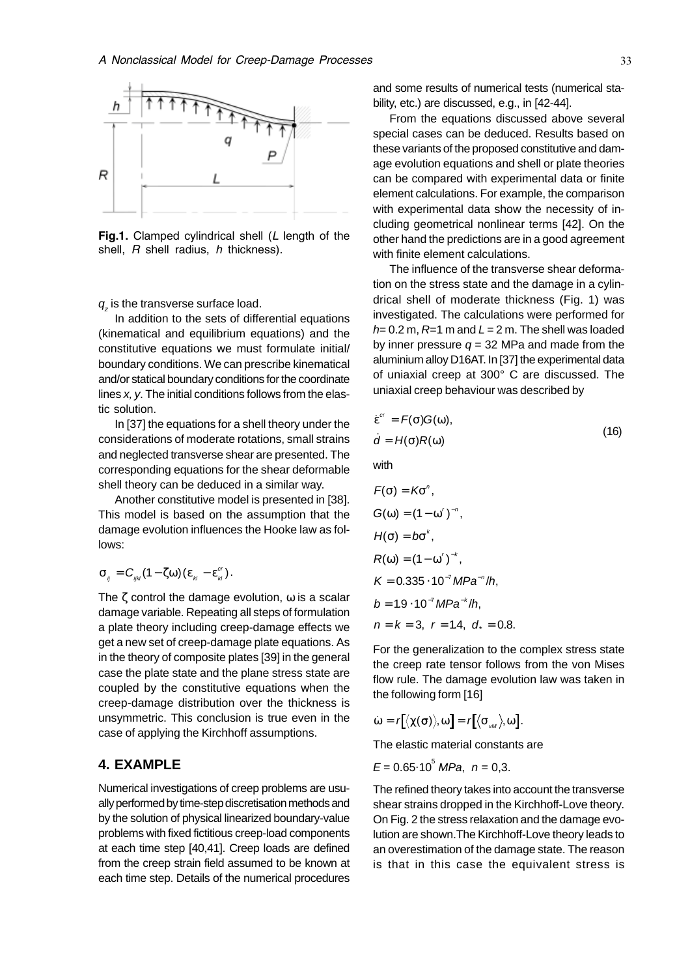

Fig.1. Clamped cylindrical shell (L length of the shell, R shell radius, h thickness).

 $q_z$  is the transverse surface load.

In addition to the sets of differential equations (kinematical and equilibrium equations) and the constitutive equations we must formulate initial/ boundary conditions. We can prescribe kinematical and/or statical boundary conditions for the coordinate lines x, y. The initial conditions follows from the elastic solution.

In [37] the equations for a shell theory under the considerations of moderate rotations, small strains and neglected transverse shear are presented. The corresponding equations for the shear deformable shell theory can be deduced in a similar way.

Another constitutive model is presented in [38]. This model is based on the assumption that the damage evolution influences the Hooke law as follows:

$$
\sigma_{ij} = C_{ijk} (1 - \zeta \omega) (\varepsilon_{ki} - \varepsilon_{ki}^{cr}).
$$

The  $\zeta$  control the damage evolution,  $\omega$  is a scalar damage variable. Repeating all steps of formulation a plate theory including creep-damage effects we get a new set of creep-damage plate equations. As in the theory of composite plates [39] in the general case the plate state and the plane stress state are coupled by the constitutive equations when the creep-damage distribution over the thickness is unsymmetric. This conclusion is true even in the case of applying the Kirchhoff assumptions.

## **4. EXAMPLE**

Numerical investigations of creep problems are usually performed by time-step discretisation methods and by the solution of physical linearized boundary-value problems with fixed fictitious creep-load components at each time step [40,41]. Creep loads are defined from the creep strain field assumed to be known at each time step. Details of the numerical procedures

and some results of numerical tests (numerical stability, etc.) are discussed, e.g., in [42-44].

From the equations discussed above several special cases can be deduced. Results based on these variants of the proposed constitutive and damage evolution equations and shell or plate theories can be compared with experimental data or finite element calculations. For example, the comparison with experimental data show the necessity of including geometrical nonlinear terms [42]. On the other hand the predictions are in a good agreement with finite element calculations.

The influence of the transverse shear deformation on the stress state and the damage in a cylindrical shell of moderate thickness (Fig. 1) was investigated. The calculations were performed for  $h= 0.2$  m,  $R=1$  m and  $L = 2$  m. The shell was loaded by inner pressure  $q = 32$  MPa and made from the aluminium alloy D16AT. In [37] the experimental data of uniaxial creep at 300° C are discussed. The uniaxial creep behaviour was described by

$$
\dot{\varepsilon}^{\alpha} = F(\sigma)G(\omega), \n\dot{d} = H(\sigma)R(\omega)
$$
\n(16)

with

$$
F(\sigma) = K\sigma^{n},
$$
  
\n
$$
G(\omega) = (1 - \omega')^{-n},
$$
  
\n
$$
H(\sigma) = b\sigma^{k},
$$
  
\n
$$
R(\omega) = (1 - \omega')^{-k},
$$
  
\n
$$
K = 0.335 \cdot 10^{-7} MPa^{-n}/h,
$$
  
\n
$$
b = 1.9 \cdot 10^{-7} MPa^{-k}/h,
$$
  
\n
$$
n = k = 3, r = 1.4, d_{*} = 0.8.
$$

For the generalization to the complex stress state the creep rate tensor follows from the von Mises flow rule. The damage evolution law was taken in the following form [16]

$$
\dot{\omega} = r[\langle \chi(\sigma) \rangle, \omega] = r[\langle \sigma_{\text{vM}} \rangle, \omega].
$$

The elastic material constants are

$$
E = 0.65 \cdot 10^5
$$
 MPa,  $n = 0,3$ .

The refined theory takes into account the transverse shear strains dropped in the Kirchhoff-Love theory. On Fig. 2 the stress relaxation and the damage evolution are shown.The Kirchhoff-Love theory leads to an overestimation of the damage state. The reason is that in this case the equivalent stress is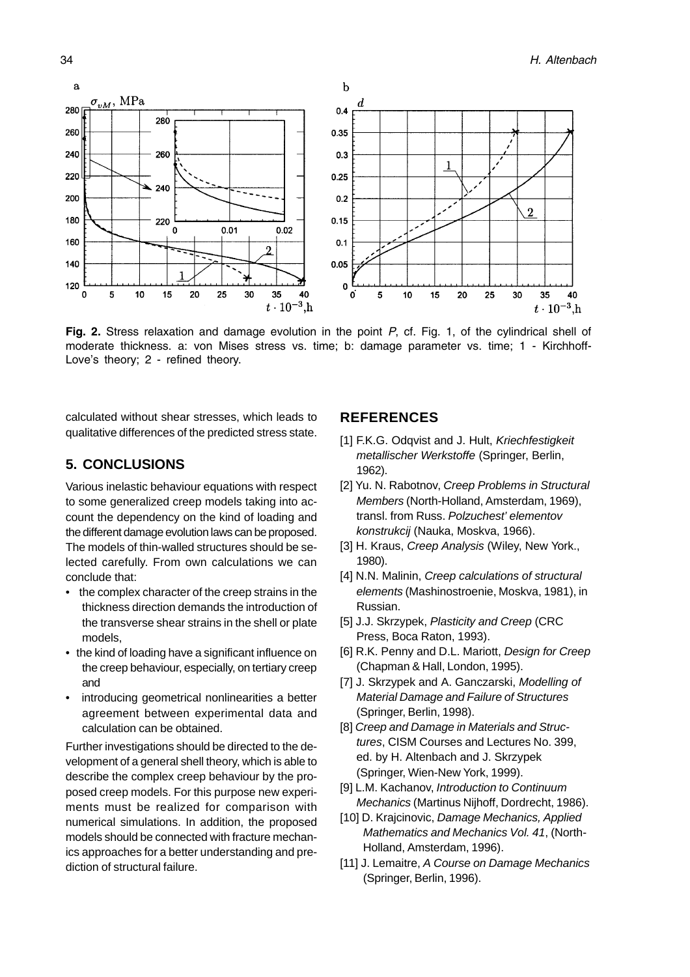

Fig. 2. Stress relaxation and damage evolution in the point  $P$ , cf. Fig. 1, of the cylindrical shell of moderate thickness. a: von Mises stress vs. time; b: damage parameter vs. time; 1 - Kirchhoff-Love's theory; 2 - refined theory.

calculated without shear stresses, which leads to qualitative differences of the predicted stress state.

# **5. CONCLUSIONS**

Various inelastic behaviour equations with respect to some generalized creep models taking into account the dependency on the kind of loading and the different damage evolution laws can be proposed. The models of thin-walled structures should be selected carefully. From own calculations we can conclude that:

- the complex character of the creep strains in the thickness direction demands the introduction of the transverse shear strains in the shell or plate models,
- the kind of loading have a significant influence on the creep behaviour, especially, on tertiary creep and
- introducing geometrical nonlinearities a better agreement between experimental data and calculation can be obtained.

Further investigations should be directed to the development of a general shell theory, which is able to describe the complex creep behaviour by the proposed creep models. For this purpose new experiments must be realized for comparison with numerical simulations. In addition, the proposed models should be connected with fracture mechanics approaches for a better understanding and prediction of structural failure.

# **REFERENCES**

- [1] F.K.G. Odqvist and J. Hult, Kriechfestigkeit metallischer Werkstoffe (Springer, Berlin, 1962).
- [2] Yu. N. Rabotnov, Creep Problems in Structural Members (North-Holland, Amsterdam, 1969), transl. from Russ. Polzuchest' elementov konstrukcij (Nauka, Moskva, 1966).
- [3] H. Kraus, Creep Analysis (Wiley, New York., 1980).
- [4] N.N. Malinin, Creep calculations of structural elements (Mashinostroenie, Moskva, 1981), in Russian.
- [5] J.J. Skrzypek, Plasticity and Creep (CRC Press, Boca Raton, 1993).
- [6] R.K. Penny and D.L. Mariott, Design for Creep (Chapman & Hall, London, 1995).
- [7] J. Skrzypek and A. Ganczarski, Modelling of Material Damage and Failure of Structures (Springer, Berlin, 1998).
- [8] Creep and Damage in Materials and Structures, CISM Courses and Lectures No. 399, ed. by H. Altenbach and J. Skrzypek (Springer, Wien-New York, 1999).
- [9] L.M. Kachanov, Introduction to Continuum Mechanics (Martinus Nijhoff, Dordrecht, 1986).
- [10] D. Krajcinovic, Damage Mechanics, Applied Mathematics and Mechanics Vol. 41, (North-Holland, Amsterdam, 1996).
- [11] J. Lemaitre, A Course on Damage Mechanics (Springer, Berlin, 1996).